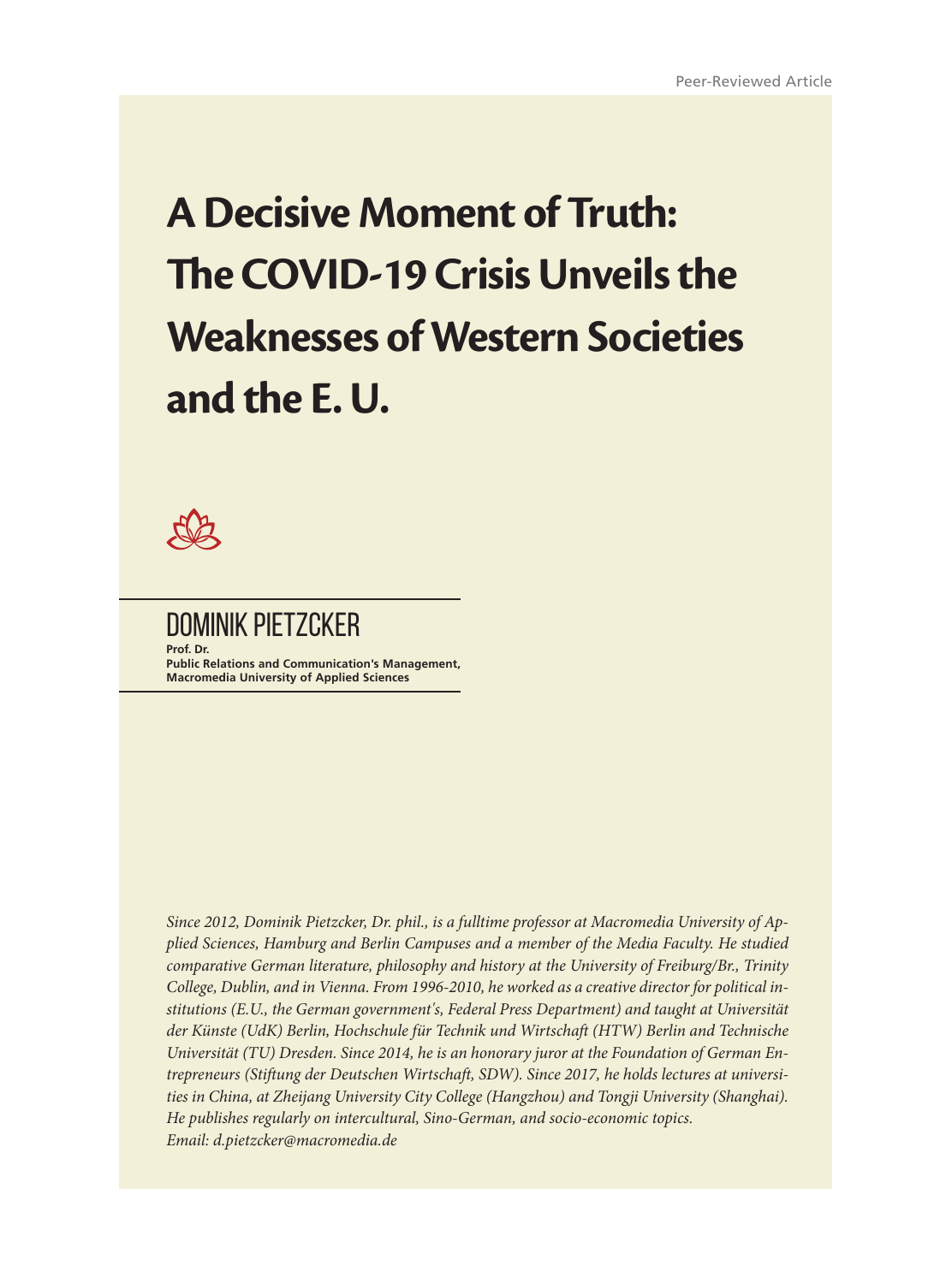# **A Decisive Moment of Truth: The COVID-19 Crisis Unveils the Weaknesses of Western Societies and the E. U.**



DOMINIK PIETZCKER **Prof. Dr. Public Relations and Communication's Management, Macromedia University of Applied Sciences**

*Since 2012, Dominik Pietzcker, Dr. phil., is a fulltime professor at Macromedia University of Applied Sciences, Hamburg and Berlin Campuses and a member of the Media Faculty. He studied comparative German literature, philosophy and history at the University of Freiburg/Br., Trinity College, Dublin, and in Vienna. From 1996-2010, he worked as a creative director for political institutions (E.U., the German government's, Federal Press Department) and taught at Universität der Künste (UdK) Berlin, Hochschule für Technik und Wirtschaft (HTW) Berlin and Technische Universität (TU) Dresden. Since 2014, he is an honorary juror at the Foundation of German Entrepreneurs (Stiftung der Deutschen Wirtschaft, SDW). Since 2017, he holds lectures at universities in China, at Zheijang University City College (Hangzhou) and Tongji University (Shanghai). He publishes regularly on intercultural, Sino-German, and socio-economic topics. Email: d.pietzcker@macromedia.de*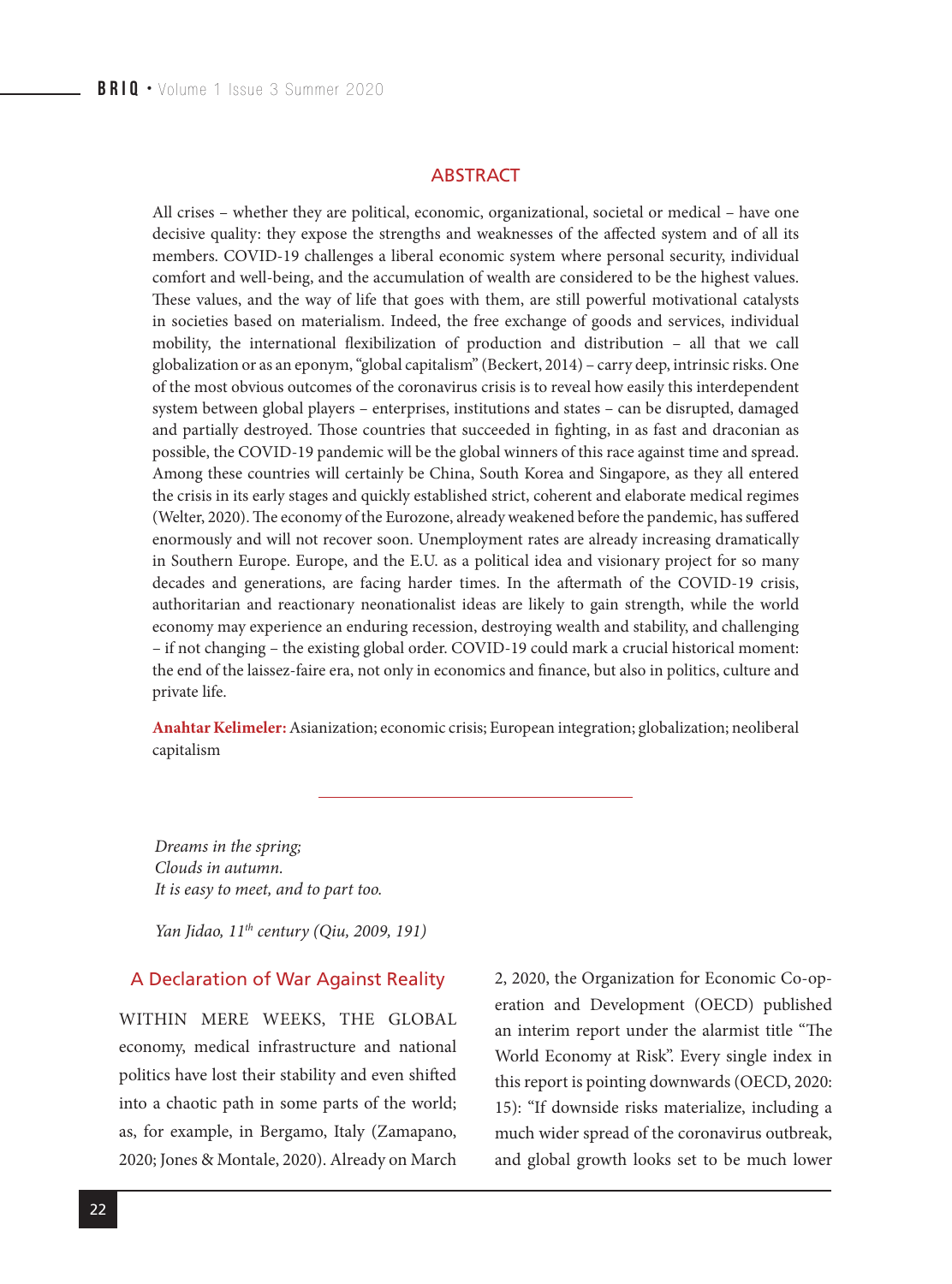#### **ABSTRACT**

All crises – whether they are political, economic, organizational, societal or medical – have one decisive quality: they expose the strengths and weaknesses of the affected system and of all its members. COVID-19 challenges a liberal economic system where personal security, individual comfort and well-being, and the accumulation of wealth are considered to be the highest values. These values, and the way of life that goes with them, are still powerful motivational catalysts in societies based on materialism. Indeed, the free exchange of goods and services, individual mobility, the international flexibilization of production and distribution – all that we call globalization or as an eponym, "global capitalism" (Beckert, 2014) – carry deep, intrinsic risks. One of the most obvious outcomes of the coronavirus crisis is to reveal how easily this interdependent system between global players – enterprises, institutions and states – can be disrupted, damaged and partially destroyed. Those countries that succeeded in fighting, in as fast and draconian as possible, the COVID-19 pandemic will be the global winners of this race against time and spread. Among these countries will certainly be China, South Korea and Singapore, as they all entered the crisis in its early stages and quickly established strict, coherent and elaborate medical regimes (Welter, 2020). The economy of the Eurozone, already weakened before the pandemic, has suffered enormously and will not recover soon. Unemployment rates are already increasing dramatically in Southern Europe. Europe, and the E.U. as a political idea and visionary project for so many decades and generations, are facing harder times. In the aftermath of the COVID-19 crisis, authoritarian and reactionary neonationalist ideas are likely to gain strength, while the world economy may experience an enduring recession, destroying wealth and stability, and challenging – if not changing – the existing global order. COVID-19 could mark a crucial historical moment: the end of the laissez-faire era, not only in economics and finance, but also in politics, culture and private life.

**Anahtar Kelimeler:**Asianization; economic crisis; European integration; globalization; neoliberal capitalism

*Dreams in the spring; Clouds in autumn. It is easy to meet, and to part too.*

*Yan Jidao, 11th century (Qiu, 2009, 191)*

#### A Declaration of War Against Reality

WITHIN MERE WEEKS, THE GLOBAL economy, medical infrastructure and national politics have lost their stability and even shifted into a chaotic path in some parts of the world; as, for example, in Bergamo, Italy (Zamapano, 2020; Jones & Montale, 2020). Already on March 2, 2020, the Organization for Economic Co-operation and Development (OECD) published an interim report under the alarmist title "The World Economy at Risk". Every single index in this report is pointing downwards (OECD, 2020: 15): "If downside risks materialize, including a much wider spread of the coronavirus outbreak, and global growth looks set to be much lower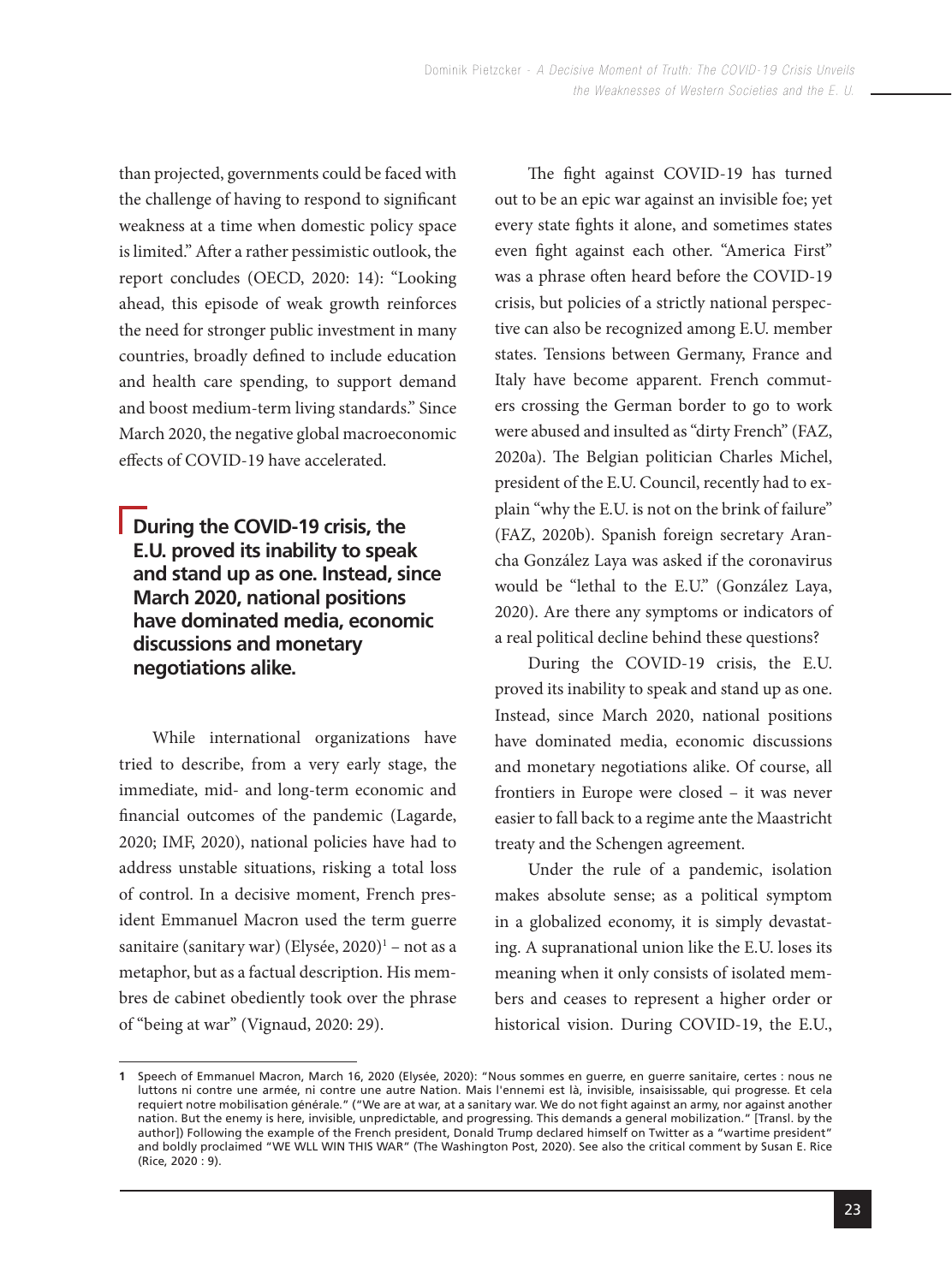than projected, governments could be faced with the challenge of having to respond to significant weakness at a time when domestic policy space is limited." After a rather pessimistic outlook, the report concludes (OECD, 2020: 14): "Looking ahead, this episode of weak growth reinforces the need for stronger public investment in many countries, broadly defined to include education and health care spending, to support demand and boost medium-term living standards." Since March 2020, the negative global macroeconomic effects of COVID-19 have accelerated.

# **During the COVID-19 crisis, the E.U. proved its inability to speak and stand up as one. Instead, since March 2020, national positions have dominated media, economic discussions and monetary negotiations alike.**

While international organizations have tried to describe, from a very early stage, the immediate, mid- and long-term economic and financial outcomes of the pandemic (Lagarde, 2020; IMF, 2020), national policies have had to address unstable situations, risking a total loss of control. In a decisive moment, French president Emmanuel Macron used the term guerre sanitaire (sanitary war) (Elysée, 2020)<sup>1</sup> – not as a metaphor, but as a factual description. His membres de cabinet obediently took over the phrase of "being at war" (Vignaud, 2020: 29).

The fight against COVID-19 has turned out to be an epic war against an invisible foe; yet every state fights it alone, and sometimes states even fight against each other. "America First" was a phrase often heard before the COVID-19 crisis, but policies of a strictly national perspective can also be recognized among E.U. member states. Tensions between Germany, France and Italy have become apparent. French commuters crossing the German border to go to work were abused and insulted as "dirty French" (FAZ, 2020a). The Belgian politician Charles Michel, president of the E.U. Council, recently had to explain "why the E.U. is not on the brink of failure" (FAZ, 2020b). Spanish foreign secretary Arancha González Laya was asked if the coronavirus would be "lethal to the E.U." (González Laya, 2020). Are there any symptoms or indicators of a real political decline behind these questions?

During the COVID-19 crisis, the E.U. proved its inability to speak and stand up as one. Instead, since March 2020, national positions have dominated media, economic discussions and monetary negotiations alike. Of course, all frontiers in Europe were closed – it was never easier to fall back to a regime ante the Maastricht treaty and the Schengen agreement.

Under the rule of a pandemic, isolation makes absolute sense; as a political symptom in a globalized economy, it is simply devastating. A supranational union like the E.U. loses its meaning when it only consists of isolated members and ceases to represent a higher order or historical vision. During COVID-19, the E.U.,

<sup>1</sup> Speech of Emmanuel Macron, March 16, 2020 (Elysée, 2020): "Nous sommes en guerre, en guerre sanitaire, certes : nous ne luttons ni contre une armée, ni contre une autre Nation. Mais l'ennemi est là, invisible, insaisissable, qui progresse. Et cela requiert notre mobilisation générale." ("We are at war, at a sanitary war. We do not fight against an army, nor against another nation. But the enemy is here, invisible, unpredictable, and progressing. This demands a general mobilization." [Transl. by the author]) Following the example of the French president, Donald Trump declared himself on Twitter as a "wartime president" and boldly proclaimed "WE WLL WIN THIS WAR" (The Washington Post, 2020). See also the critical comment by Susan E. Rice (Rice, 2020 : 9).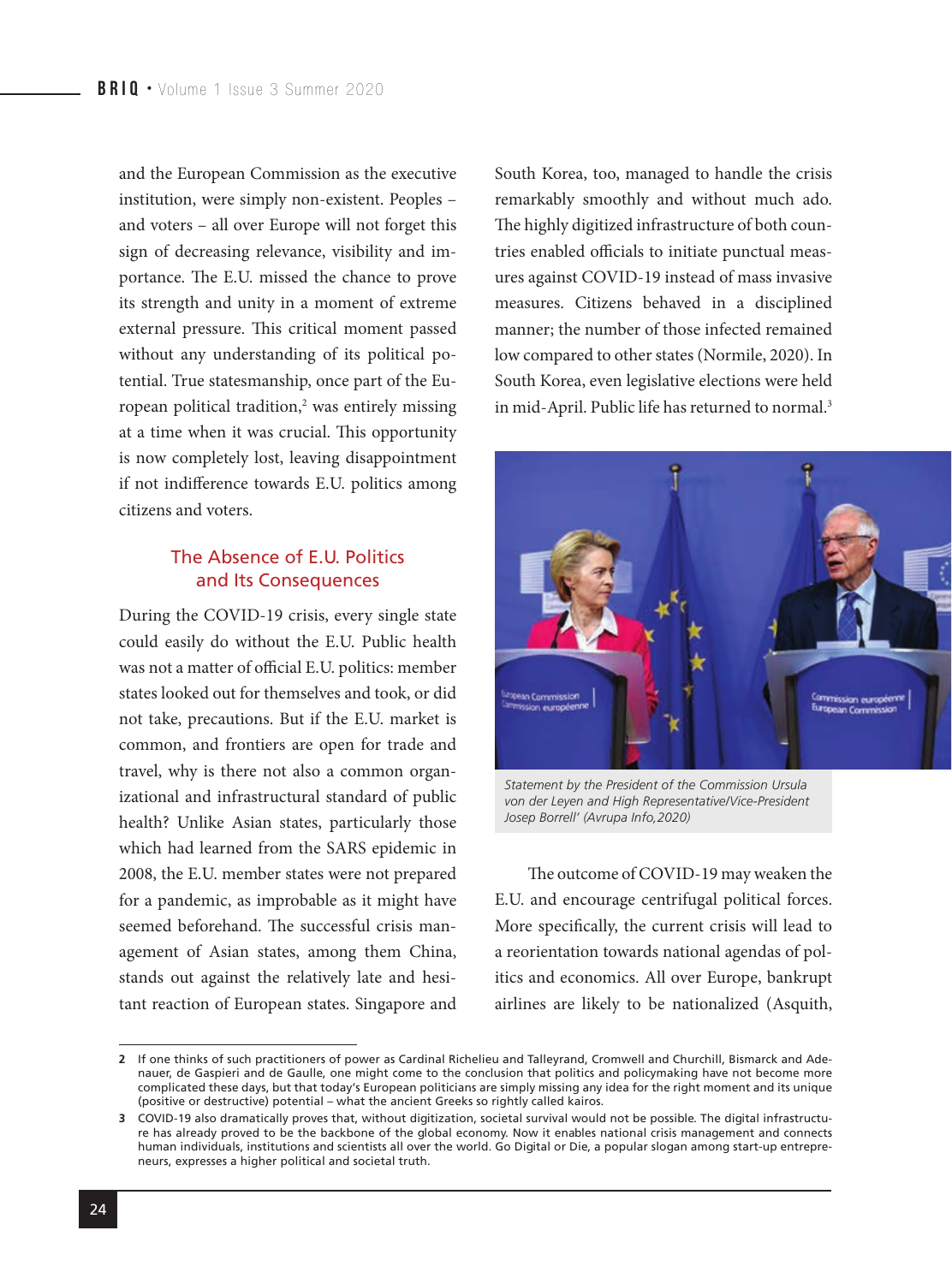and the European Commission as the executive institution, were simply non-existent. Peoples – and voters – all over Europe will not forget this sign of decreasing relevance, visibility and importance. The E.U. missed the chance to prove its strength and unity in a moment of extreme external pressure. This critical moment passed without any understanding of its political potential. True statesmanship, once part of the European political tradition,<sup>2</sup> was entirely missing at a time when it was crucial. This opportunity is now completely lost, leaving disappointment if not indifference towards E.U. politics among citizens and voters.

#### The Absence of E.U. Politics and Its Consequences

During the COVID-19 crisis, every single state could easily do without the E.U. Public health was not a matter of official E.U. politics: member states looked out for themselves and took, or did not take, precautions. But if the E.U. market is common, and frontiers are open for trade and travel, why is there not also a common organizational and infrastructural standard of public health? Unlike Asian states, particularly those which had learned from the SARS epidemic in 2008, the E.U. member states were not prepared for a pandemic, as improbable as it might have seemed beforehand. The successful crisis management of Asian states, among them China, stands out against the relatively late and hesitant reaction of European states. Singapore and

South Korea, too, managed to handle the crisis remarkably smoothly and without much ado. The highly digitized infrastructure of both countries enabled officials to initiate punctual measures against COVID-19 instead of mass invasive measures. Citizens behaved in a disciplined manner; the number of those infected remained low compared to other states (Normile, 2020). In South Korea, even legislative elections were held in mid-April. Public life has returned to normal.<sup>3</sup>



*Statement by the President of the Commission Ursula von der Leyen and High Representative/Vice-President Josep Borrell' (Avrupa Info,2020)*

The outcome of COVID-19 may weaken the E.U. and encourage centrifugal political forces. More specifically, the current crisis will lead to a reorientation towards national agendas of politics and economics. All over Europe, bankrupt airlines are likely to be nationalized (Asquith,

If one thinks of such practitioners of power as Cardinal Richelieu and Talleyrand, Cromwell and Churchill, Bismarck and Ade-**2** nauer, de Gaspieri and de Gaulle, one might come to the conclusion that politics and policymaking have not become more complicated these days, but that today's European politicians are simply missing any idea for the right moment and its unique (positive or destructive) potential – what the ancient Greeks so rightly called kairos.

COVID-19 also dramatically proves that, without digitization, societal survival would not be possible. The digital infrastructu-**3** re has already proved to be the backbone of the global economy. Now it enables national crisis management and connects human individuals, institutions and scientists all over the world. Go Digital or Die, a popular slogan among start-up entrepreneurs, expresses a higher political and societal truth.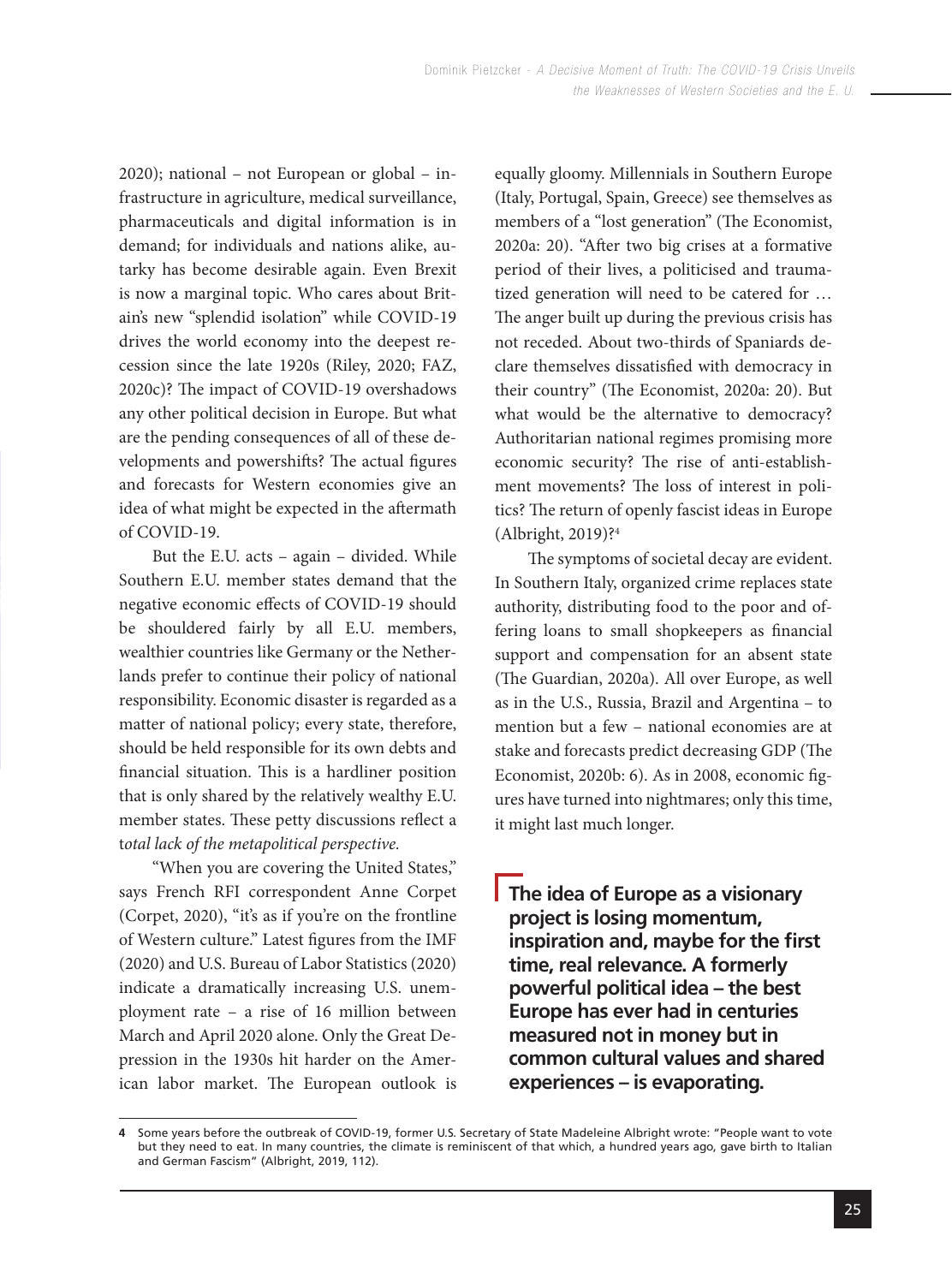2020); national – not European or global – infrastructure in agriculture, medical surveillance, pharmaceuticals and digital information is in demand; for individuals and nations alike, autarky has become desirable again. Even Brexit is now a marginal topic. Who cares about Britain's new "splendid isolation" while COVID-19 drives the world economy into the deepest recession since the late 1920s (Riley, 2020; FAZ, 2020c)? The impact of COVID-19 overshadows any other political decision in Europe. But what are the pending consequences of all of these developments and powershifts? The actual figures and forecasts for Western economies give an idea of what might be expected in the aftermath of COVID-19.

But the E.U. acts – again – divided. While Southern E.U. member states demand that the negative economic effects of COVID-19 should be shouldered fairly by all E.U. members, wealthier countries like Germany or the Netherlands prefer to continue their policy of national responsibility. Economic disaster is regarded as a matter of national policy; every state, therefore, should be held responsible for its own debts and financial situation. This is a hardliner position that is only shared by the relatively wealthy E.U. member states. These petty discussions reflect a t*otal lack of the metapolitical perspective.*

"When you are covering the United States," says French RFI correspondent Anne Corpet (Corpet, 2020), "it's as if you're on the frontline of Western culture." Latest figures from the IMF (2020) and U.S. Bureau of Labor Statistics (2020) indicate a dramatically increasing U.S. unemployment rate – a rise of 16 million between March and April 2020 alone. Only the Great Depression in the 1930s hit harder on the American labor market. The European outlook is equally gloomy. Millennials in Southern Europe (Italy, Portugal, Spain, Greece) see themselves as members of a "lost generation" (The Economist, 2020a: 20). "After two big crises at a formative period of their lives, a politicised and traumatized generation will need to be catered for … The anger built up during the previous crisis has not receded. About two-thirds of Spaniards declare themselves dissatisfied with democracy in their country" (The Economist, 2020a: 20). But what would be the alternative to democracy? Authoritarian national regimes promising more economic security? The rise of anti-establishment movements? The loss of interest in politics? The return of openly fascist ideas in Europe (Albright, 2019)?4

The symptoms of societal decay are evident. In Southern Italy, organized crime replaces state authority, distributing food to the poor and offering loans to small shopkeepers as financial support and compensation for an absent state (The Guardian, 2020a). All over Europe, as well as in the U.S., Russia, Brazil and Argentina – to mention but a few – national economies are at stake and forecasts predict decreasing GDP (The Economist, 2020b: 6). As in 2008, economic figures have turned into nightmares; only this time, it might last much longer.

**The idea of Europe as a visionary project is losing momentum, inspiration and, maybe for the first time, real relevance. A formerly powerful political idea – the best Europe has ever had in centuries measured not in money but in common cultural values and shared experiences – is evaporating.**

Some years before the outbreak of COVID-19, former U.S. Secretary of State Madeleine Albright wrote: "People want to vote but they need to eat. In many countries, the climate is reminiscent of that which, a hundred years ago, gave birth to Italian and German Fascism" (Albright, 2019, 112). **4**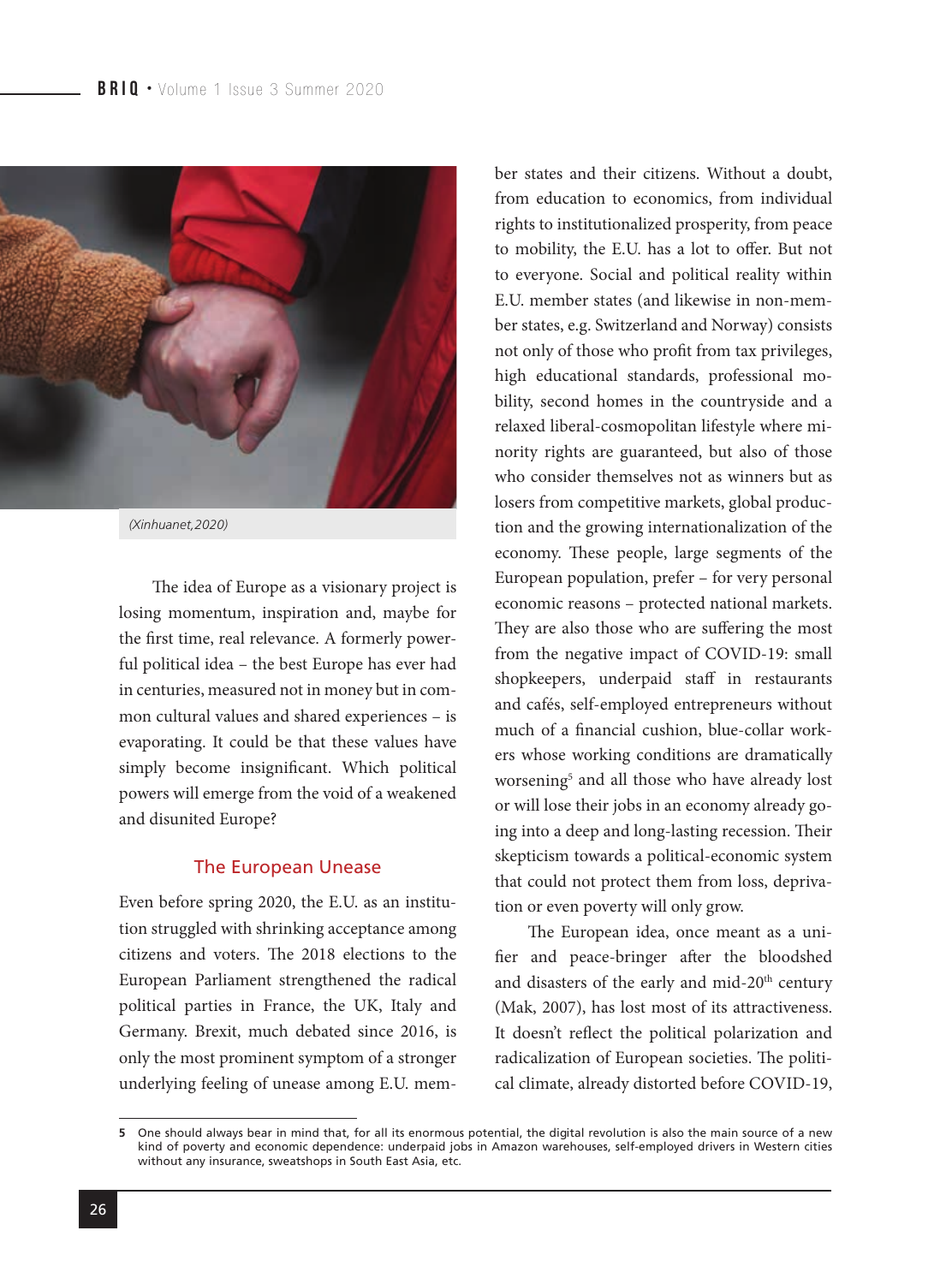

The idea of Europe as a visionary project is losing momentum, inspiration and, maybe for the first time, real relevance. A formerly powerful political idea – the best Europe has ever had in centuries, measured not in money but in common cultural values and shared experiences – is evaporating. It could be that these values have simply become insignificant. Which political powers will emerge from the void of a weakened and disunited Europe?

#### The European Unease

Even before spring 2020, the E.U. as an institution struggled with shrinking acceptance among citizens and voters. The 2018 elections to the European Parliament strengthened the radical political parties in France, the UK, Italy and Germany. Brexit, much debated since 2016, is only the most prominent symptom of a stronger underlying feeling of unease among E.U. member states and their citizens. Without a doubt, from education to economics, from individual rights to institutionalized prosperity, from peace to mobility, the E.U. has a lot to offer. But not to everyone. Social and political reality within E.U. member states (and likewise in non-member states, e.g. Switzerland and Norway) consists not only of those who profit from tax privileges, high educational standards, professional mobility, second homes in the countryside and a relaxed liberal-cosmopolitan lifestyle where minority rights are guaranteed, but also of those who consider themselves not as winners but as losers from competitive markets, global production and the growing internationalization of the economy. These people, large segments of the European population, prefer – for very personal economic reasons – protected national markets. They are also those who are suffering the most from the negative impact of COVID-19: small shopkeepers, underpaid staff in restaurants and cafés, self-employed entrepreneurs without much of a financial cushion, blue-collar workers whose working conditions are dramatically worsening5 and all those who have already lost or will lose their jobs in an economy already going into a deep and long-lasting recession. Their skepticism towards a political-economic system that could not protect them from loss, deprivation or even poverty will only grow.

The European idea, once meant as a unifier and peace-bringer after the bloodshed and disasters of the early and mid-20<sup>th</sup> century (Mak, 2007), has lost most of its attractiveness. It doesn't reflect the political polarization and radicalization of European societies. The political climate, already distorted before COVID-19,

One should always bear in mind that, for all its enormous potential, the digital revolution is also the main source of a new kind of poverty and economic dependence: underpaid jobs in Amazon warehouses, self-employed drivers in Western cities without any insurance, sweatshops in South East Asia, etc. **5**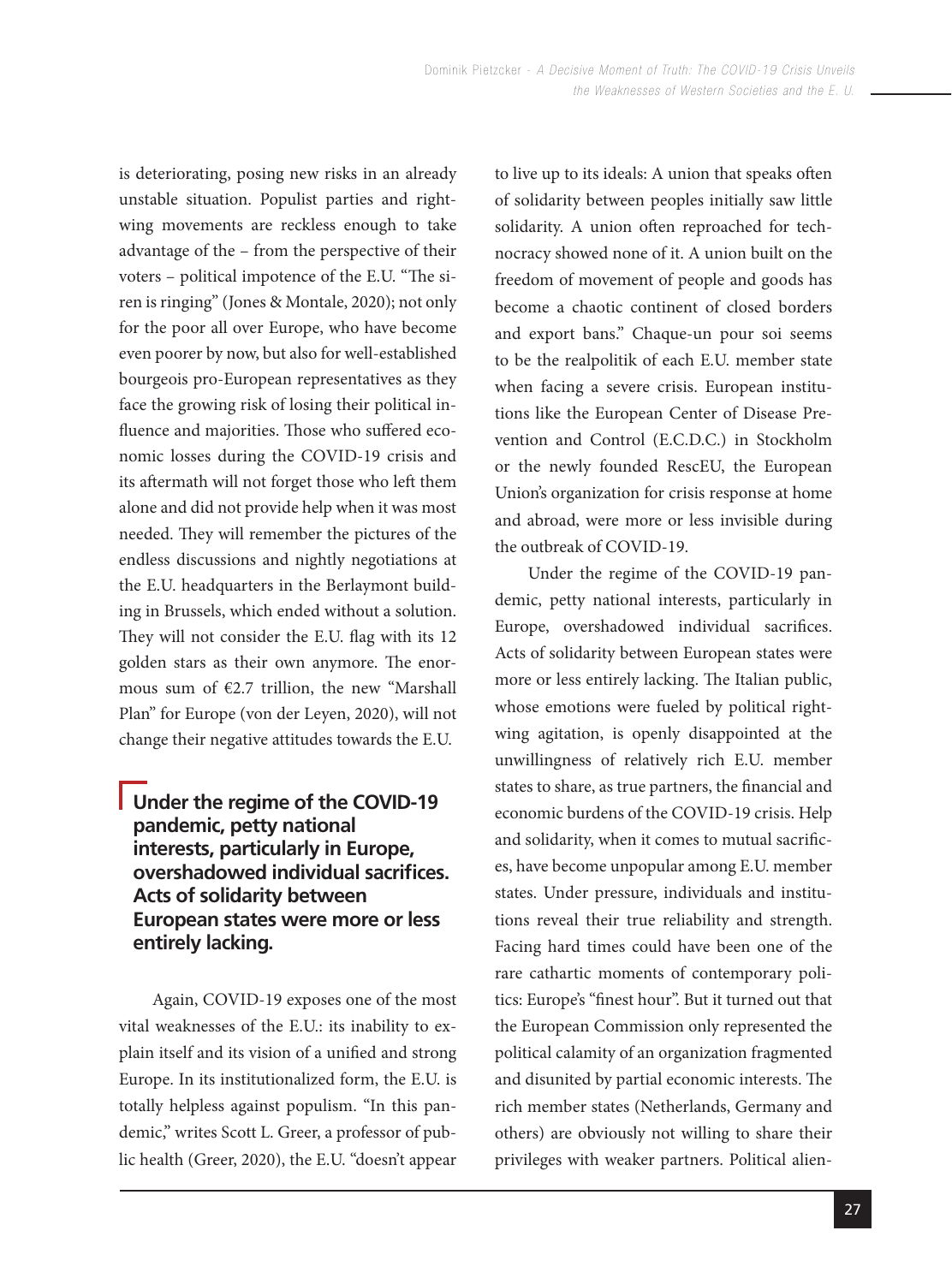is deteriorating, posing new risks in an already unstable situation. Populist parties and rightwing movements are reckless enough to take advantage of the – from the perspective of their voters – political impotence of the E.U. "The siren is ringing" (Jones & Montale, 2020); not only for the poor all over Europe, who have become even poorer by now, but also for well-established bourgeois pro-European representatives as they face the growing risk of losing their political influence and majorities. Those who suffered economic losses during the COVID-19 crisis and its aftermath will not forget those who left them alone and did not provide help when it was most needed. They will remember the pictures of the endless discussions and nightly negotiations at the E.U. headquarters in the Berlaymont building in Brussels, which ended without a solution. They will not consider the E.U. flag with its 12 golden stars as their own anymore. The enormous sum of €2.7 trillion, the new "Marshall Plan" for Europe (von der Leyen, 2020), will not change their negative attitudes towards the E.U.

# **Under the regime of the COVID-19 pandemic, petty national interests, particularly in Europe, overshadowed individual sacrifices. Acts of solidarity between European states were more or less entirely lacking.**

Again, COVID-19 exposes one of the most vital weaknesses of the E.U.: its inability to explain itself and its vision of a unified and strong Europe. In its institutionalized form, the E.U. is totally helpless against populism. "In this pandemic," writes Scott L. Greer, a professor of public health (Greer, 2020), the E.U. "doesn't appear to live up to its ideals: A union that speaks often of solidarity between peoples initially saw little solidarity. A union often reproached for technocracy showed none of it. A union built on the freedom of movement of people and goods has become a chaotic continent of closed borders and export bans." Chaque-un pour soi seems to be the realpolitik of each E.U. member state when facing a severe crisis. European institutions like the European Center of Disease Prevention and Control (E.C.D.C.) in Stockholm or the newly founded RescEU, the European Union's organization for crisis response at home and abroad, were more or less invisible during the outbreak of COVID-19.

Under the regime of the COVID-19 pandemic, petty national interests, particularly in Europe, overshadowed individual sacrifices. Acts of solidarity between European states were more or less entirely lacking. The Italian public, whose emotions were fueled by political rightwing agitation, is openly disappointed at the unwillingness of relatively rich E.U. member states to share, as true partners, the financial and economic burdens of the COVID-19 crisis. Help and solidarity, when it comes to mutual sacrifices, have become unpopular among E.U. member states. Under pressure, individuals and institutions reveal their true reliability and strength. Facing hard times could have been one of the rare cathartic moments of contemporary politics: Europe's "finest hour". But it turned out that the European Commission only represented the political calamity of an organization fragmented and disunited by partial economic interests. The rich member states (Netherlands, Germany and others) are obviously not willing to share their privileges with weaker partners. Political alien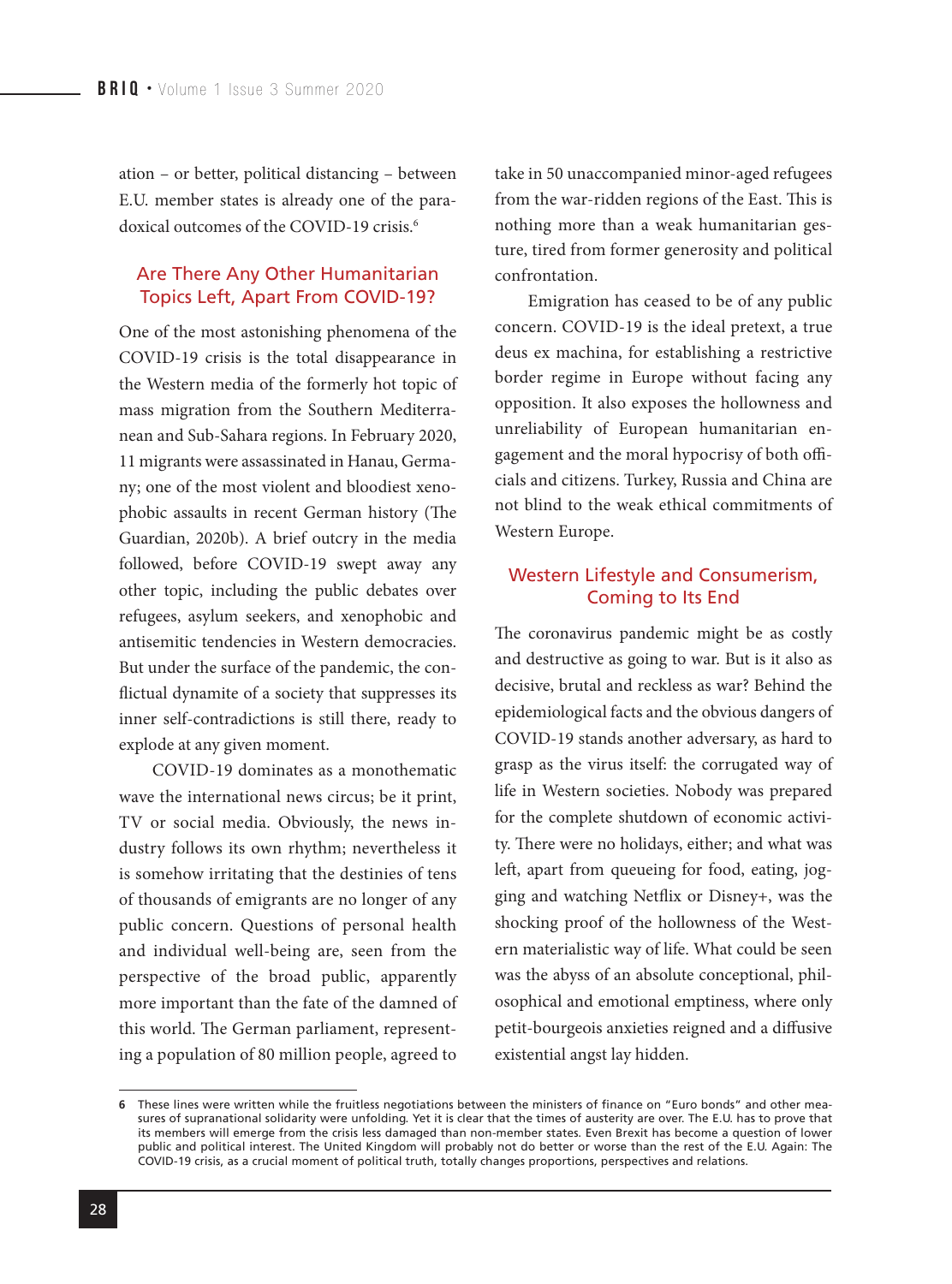ation – or better, political distancing – between E.U. member states is already one of the paradoxical outcomes of the COVID-19 crisis.<sup>6</sup>

#### Are There Any Other Humanitarian Topics Left, Apart From COVID-19?

One of the most astonishing phenomena of the COVID-19 crisis is the total disappearance in the Western media of the formerly hot topic of mass migration from the Southern Mediterranean and Sub-Sahara regions. In February 2020, 11 migrants were assassinated in Hanau, Germany; one of the most violent and bloodiest xenophobic assaults in recent German history (The Guardian, 2020b). A brief outcry in the media followed, before COVID-19 swept away any other topic, including the public debates over refugees, asylum seekers, and xenophobic and antisemitic tendencies in Western democracies. But under the surface of the pandemic, the conflictual dynamite of a society that suppresses its inner self-contradictions is still there, ready to explode at any given moment.

COVID-19 dominates as a monothematic wave the international news circus; be it print, TV or social media. Obviously, the news industry follows its own rhythm; nevertheless it is somehow irritating that the destinies of tens of thousands of emigrants are no longer of any public concern. Questions of personal health and individual well-being are, seen from the perspective of the broad public, apparently more important than the fate of the damned of this world. The German parliament, representing a population of 80 million people, agreed to

take in 50 unaccompanied minor-aged refugees from the war-ridden regions of the East. This is nothing more than a weak humanitarian gesture, tired from former generosity and political confrontation.

Emigration has ceased to be of any public concern. COVID-19 is the ideal pretext, a true deus ex machina, for establishing a restrictive border regime in Europe without facing any opposition. It also exposes the hollowness and unreliability of European humanitarian engagement and the moral hypocrisy of both officials and citizens. Turkey, Russia and China are not blind to the weak ethical commitments of Western Europe.

# Western Lifestyle and Consumerism, Coming to Its End

The coronavirus pandemic might be as costly and destructive as going to war. But is it also as decisive, brutal and reckless as war? Behind the epidemiological facts and the obvious dangers of COVID-19 stands another adversary, as hard to grasp as the virus itself: the corrugated way of life in Western societies. Nobody was prepared for the complete shutdown of economic activity. There were no holidays, either; and what was left, apart from queueing for food, eating, jogging and watching Netflix or Disney+, was the shocking proof of the hollowness of the Western materialistic way of life. What could be seen was the abyss of an absolute conceptional, philosophical and emotional emptiness, where only petit-bourgeois anxieties reigned and a diffusive existential angst lay hidden.

These lines were written while the fruitless negotiations between the ministers of finance on "Euro bonds" and other mea-**6**sures of supranational solidarity were unfolding. Yet it is clear that the times of austerity are over. The E.U. has to prove that its members will emerge from the crisis less damaged than non-member states. Even Brexit has become a question of lower public and political interest. The United Kingdom will probably not do better or worse than the rest of the E.U. Again: The COVID-19 crisis, as a crucial moment of political truth, totally changes proportions, perspectives and relations.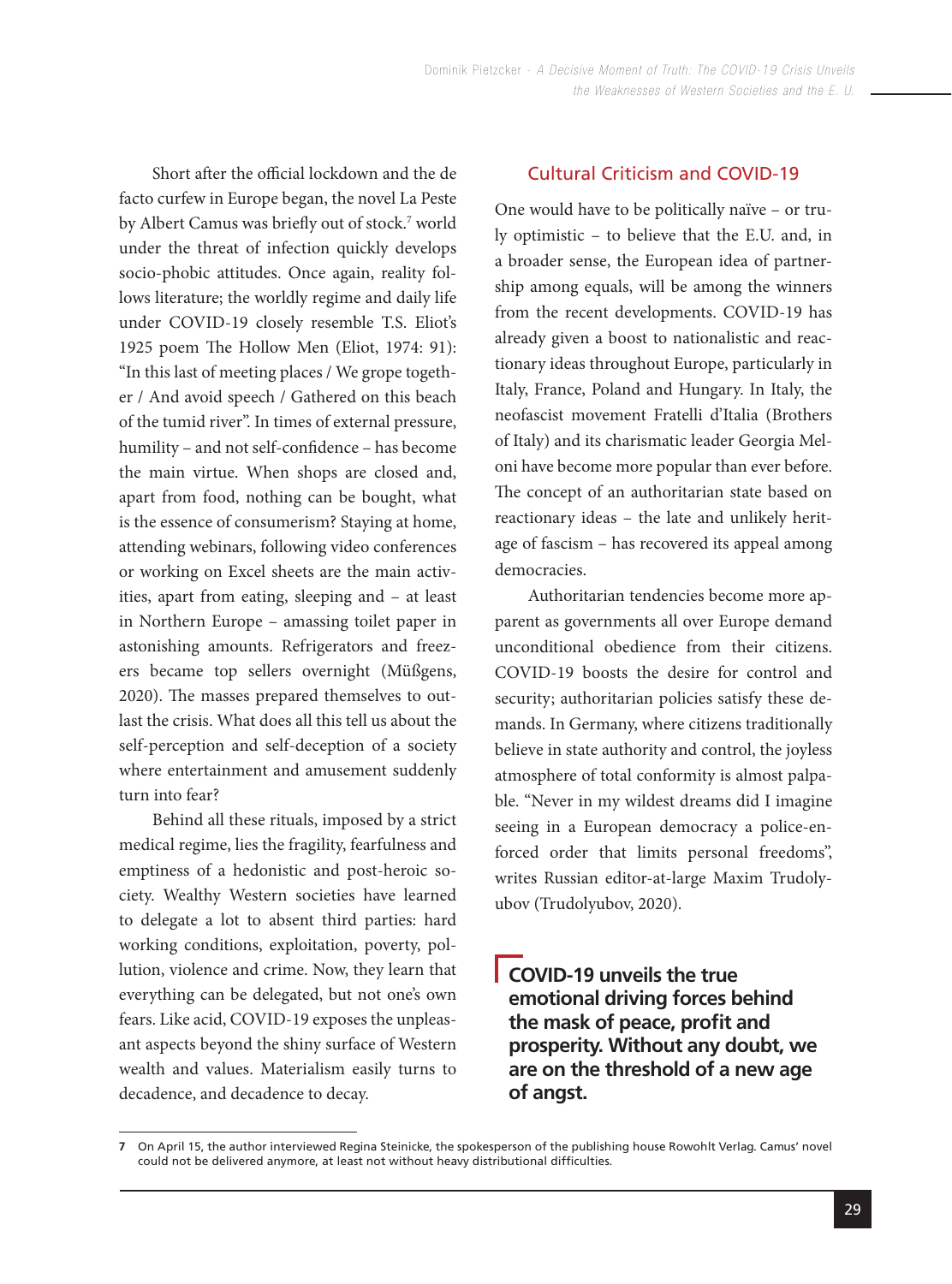Short after the official lockdown and the de facto curfew in Europe began, the novel La Peste by Albert Camus was briefly out of stock.7 world under the threat of infection quickly develops socio-phobic attitudes. Once again, reality follows literature; the worldly regime and daily life under COVID-19 closely resemble T.S. Eliot's 1925 poem The Hollow Men (Eliot, 1974: 91): "In this last of meeting places / We grope together / And avoid speech / Gathered on this beach of the tumid river". In times of external pressure, humility – and not self-confidence – has become the main virtue. When shops are closed and, apart from food, nothing can be bought, what is the essence of consumerism? Staying at home, attending webinars, following video conferences or working on Excel sheets are the main activities, apart from eating, sleeping and – at least in Northern Europe – amassing toilet paper in astonishing amounts. Refrigerators and freezers became top sellers overnight (Müßgens, 2020). The masses prepared themselves to outlast the crisis. What does all this tell us about the self-perception and self-deception of a society where entertainment and amusement suddenly turn into fear?

Behind all these rituals, imposed by a strict medical regime, lies the fragility, fearfulness and emptiness of a hedonistic and post-heroic society. Wealthy Western societies have learned to delegate a lot to absent third parties: hard working conditions, exploitation, poverty, pollution, violence and crime. Now, they learn that everything can be delegated, but not one's own fears. Like acid, COVID-19 exposes the unpleasant aspects beyond the shiny surface of Western wealth and values. Materialism easily turns to decadence, and decadence to decay.

# Cultural Criticism and COVID-19

One would have to be politically naïve – or truly optimistic – to believe that the E.U. and, in a broader sense, the European idea of partnership among equals, will be among the winners from the recent developments. COVID-19 has already given a boost to nationalistic and reactionary ideas throughout Europe, particularly in Italy, France, Poland and Hungary. In Italy, the neofascist movement Fratelli d'Italia (Brothers of Italy) and its charismatic leader Georgia Meloni have become more popular than ever before. The concept of an authoritarian state based on reactionary ideas – the late and unlikely heritage of fascism – has recovered its appeal among democracies.

Authoritarian tendencies become more apparent as governments all over Europe demand unconditional obedience from their citizens. COVID-19 boosts the desire for control and security; authoritarian policies satisfy these demands. In Germany, where citizens traditionally believe in state authority and control, the joyless atmosphere of total conformity is almost palpable. "Never in my wildest dreams did I imagine seeing in a European democracy a police-enforced order that limits personal freedoms", writes Russian editor-at-large Maxim Trudolyubov (Trudolyubov, 2020).

**COVID-19 unveils the true emotional driving forces behind the mask of peace, profit and prosperity. Without any doubt, we are on the threshold of a new age of angst.**

On April 15, the author interviewed Regina Steinicke, the spokesperson of the publishing house Rowohlt Verlag. Camus' novel **7** could not be delivered anymore, at least not without heavy distributional difficulties.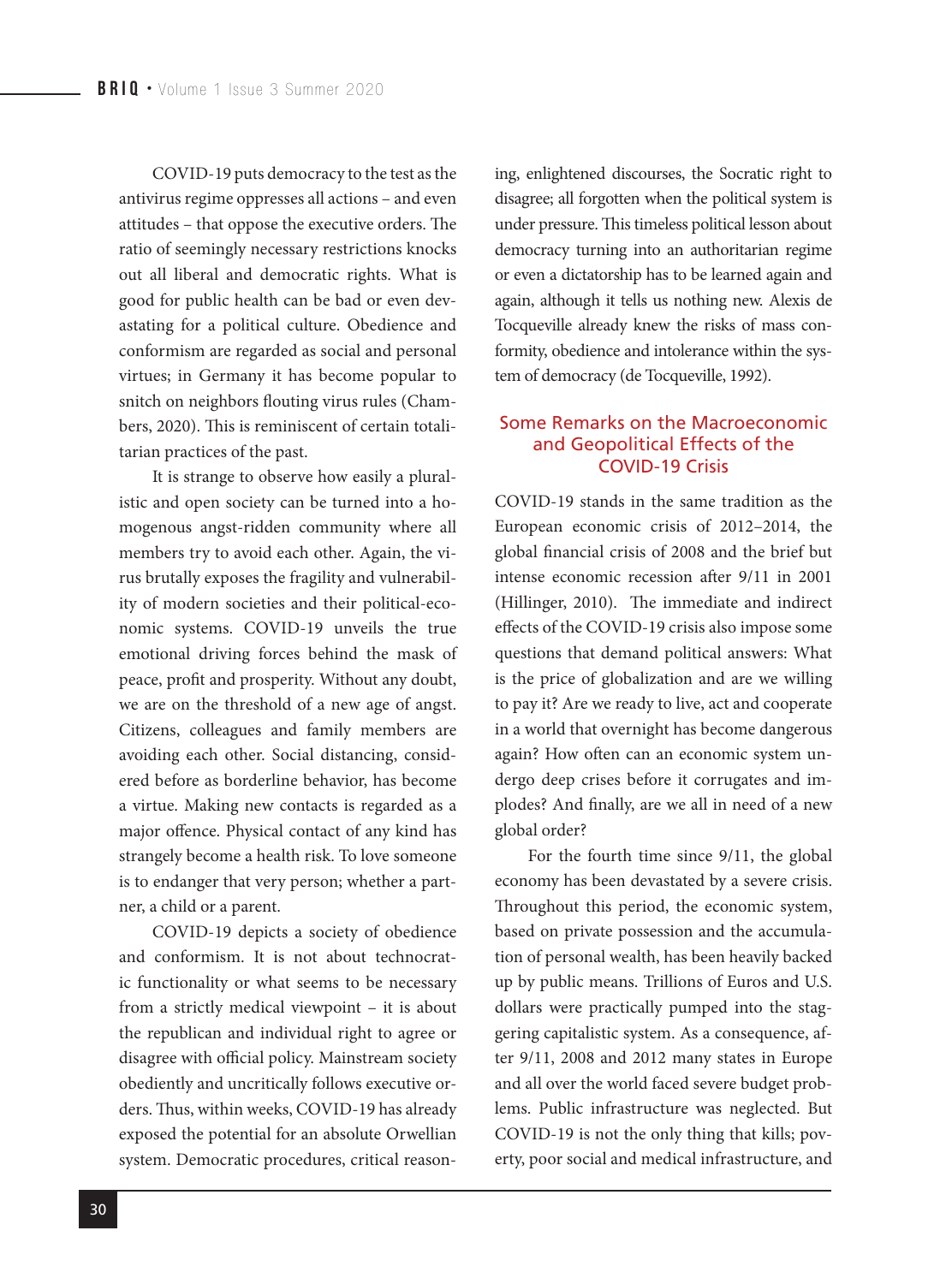COVID-19 puts democracy to the test as the antivirus regime oppresses all actions – and even attitudes – that oppose the executive orders. The ratio of seemingly necessary restrictions knocks out all liberal and democratic rights. What is good for public health can be bad or even devastating for a political culture. Obedience and conformism are regarded as social and personal virtues; in Germany it has become popular to snitch on neighbors flouting virus rules (Chambers, 2020). This is reminiscent of certain totalitarian practices of the past.

It is strange to observe how easily a pluralistic and open society can be turned into a homogenous angst-ridden community where all members try to avoid each other. Again, the virus brutally exposes the fragility and vulnerability of modern societies and their political-economic systems. COVID-19 unveils the true emotional driving forces behind the mask of peace, profit and prosperity. Without any doubt, we are on the threshold of a new age of angst. Citizens, colleagues and family members are avoiding each other. Social distancing, considered before as borderline behavior, has become a virtue. Making new contacts is regarded as a major offence. Physical contact of any kind has strangely become a health risk. To love someone is to endanger that very person; whether a partner, a child or a parent.

COVID-19 depicts a society of obedience and conformism. It is not about technocratic functionality or what seems to be necessary from a strictly medical viewpoint – it is about the republican and individual right to agree or disagree with official policy. Mainstream society obediently and uncritically follows executive orders. Thus, within weeks, COVID-19 has already exposed the potential for an absolute Orwellian system. Democratic procedures, critical reasoning, enlightened discourses, the Socratic right to disagree; all forgotten when the political system is under pressure. This timeless political lesson about democracy turning into an authoritarian regime or even a dictatorship has to be learned again and again, although it tells us nothing new. Alexis de Tocqueville already knew the risks of mass conformity, obedience and intolerance within the system of democracy (de Tocqueville, 1992).

#### Some Remarks on the Macroeconomic and Geopolitical Effects of the COVID-19 Crisis

COVID-19 stands in the same tradition as the European economic crisis of 2012–2014, the global financial crisis of 2008 and the brief but intense economic recession after 9/11 in 2001 (Hillinger, 2010). The immediate and indirect effects of the COVID-19 crisis also impose some questions that demand political answers: What is the price of globalization and are we willing to pay it? Are we ready to live, act and cooperate in a world that overnight has become dangerous again? How often can an economic system undergo deep crises before it corrugates and implodes? And finally, are we all in need of a new global order?

For the fourth time since 9/11, the global economy has been devastated by a severe crisis. Throughout this period, the economic system, based on private possession and the accumulation of personal wealth, has been heavily backed up by public means. Trillions of Euros and U.S. dollars were practically pumped into the staggering capitalistic system. As a consequence, after 9/11, 2008 and 2012 many states in Europe and all over the world faced severe budget problems. Public infrastructure was neglected. But COVID-19 is not the only thing that kills; poverty, poor social and medical infrastructure, and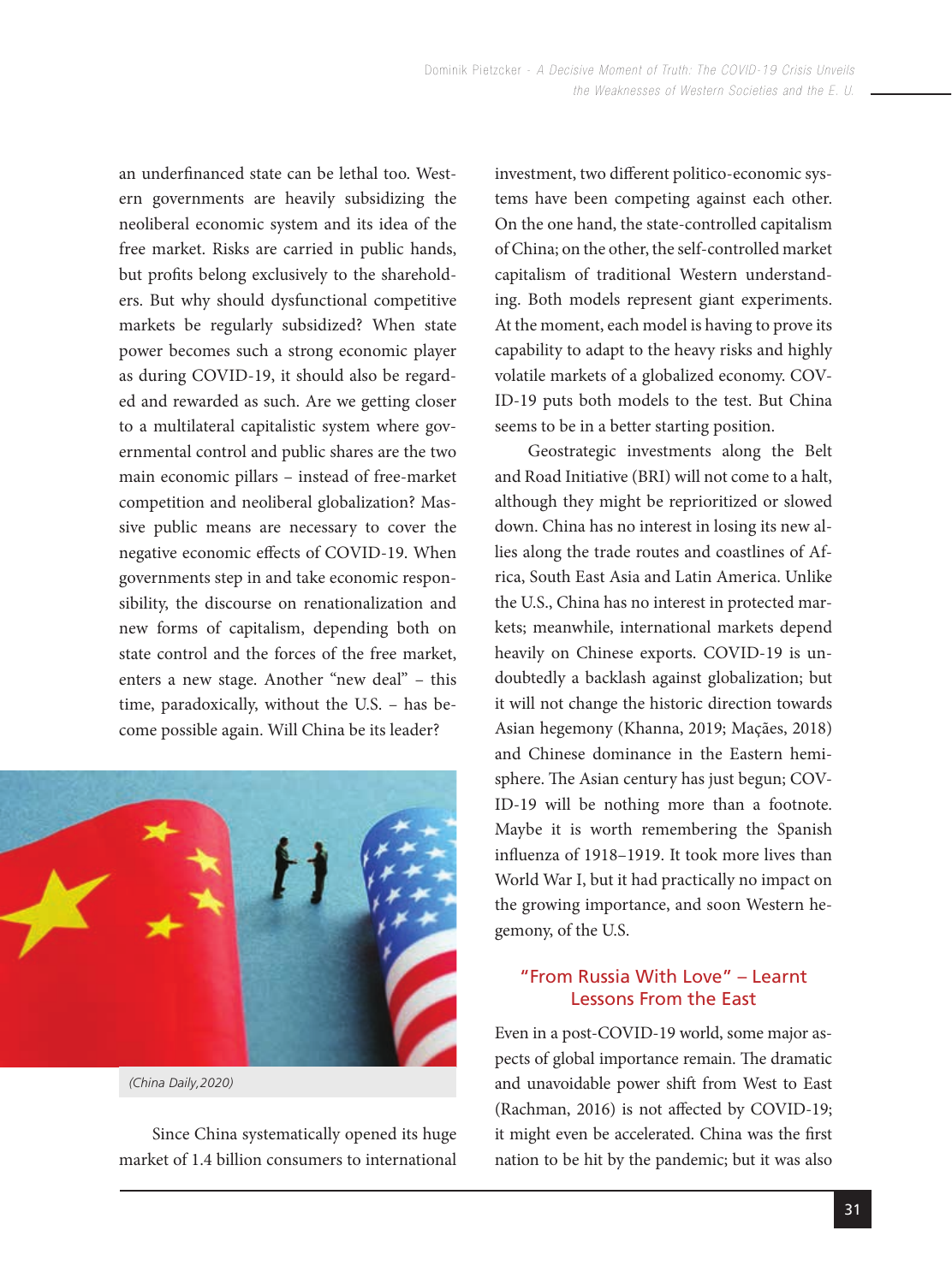an underfinanced state can be lethal too. Western governments are heavily subsidizing the neoliberal economic system and its idea of the free market. Risks are carried in public hands, but profits belong exclusively to the shareholders. But why should dysfunctional competitive markets be regularly subsidized? When state power becomes such a strong economic player as during COVID-19, it should also be regarded and rewarded as such. Are we getting closer to a multilateral capitalistic system where governmental control and public shares are the two main economic pillars – instead of free-market competition and neoliberal globalization? Massive public means are necessary to cover the negative economic effects of COVID-19. When governments step in and take economic responsibility, the discourse on renationalization and new forms of capitalism, depending both on state control and the forces of the free market, enters a new stage. Another "new deal" – this time, paradoxically, without the U.S. – has become possible again. Will China be its leader?



Since China systematically opened its huge market of 1.4 billion consumers to international investment, two different politico-economic systems have been competing against each other. On the one hand, the state-controlled capitalism of China; on the other, the self-controlled market capitalism of traditional Western understanding. Both models represent giant experiments. At the moment, each model is having to prove its capability to adapt to the heavy risks and highly volatile markets of a globalized economy. COV-ID-19 puts both models to the test. But China seems to be in a better starting position.

Geostrategic investments along the Belt and Road Initiative (BRI) will not come to a halt, although they might be reprioritized or slowed down. China has no interest in losing its new allies along the trade routes and coastlines of Africa, South East Asia and Latin America. Unlike the U.S., China has no interest in protected markets; meanwhile, international markets depend heavily on Chinese exports. COVID-19 is undoubtedly a backlash against globalization; but it will not change the historic direction towards Asian hegemony (Khanna, 2019; Maçães, 2018) and Chinese dominance in the Eastern hemisphere. The Asian century has just begun; COV-ID-19 will be nothing more than a footnote. Maybe it is worth remembering the Spanish influenza of 1918–1919. It took more lives than World War I, but it had practically no impact on the growing importance, and soon Western hegemony, of the U.S.

# "From Russia With Love" – Learnt Lessons From the East

Even in a post-COVID-19 world, some major aspects of global importance remain. The dramatic and unavoidable power shift from West to East (Rachman, 2016) is not affected by COVID-19; it might even be accelerated. China was the first nation to be hit by the pandemic; but it was also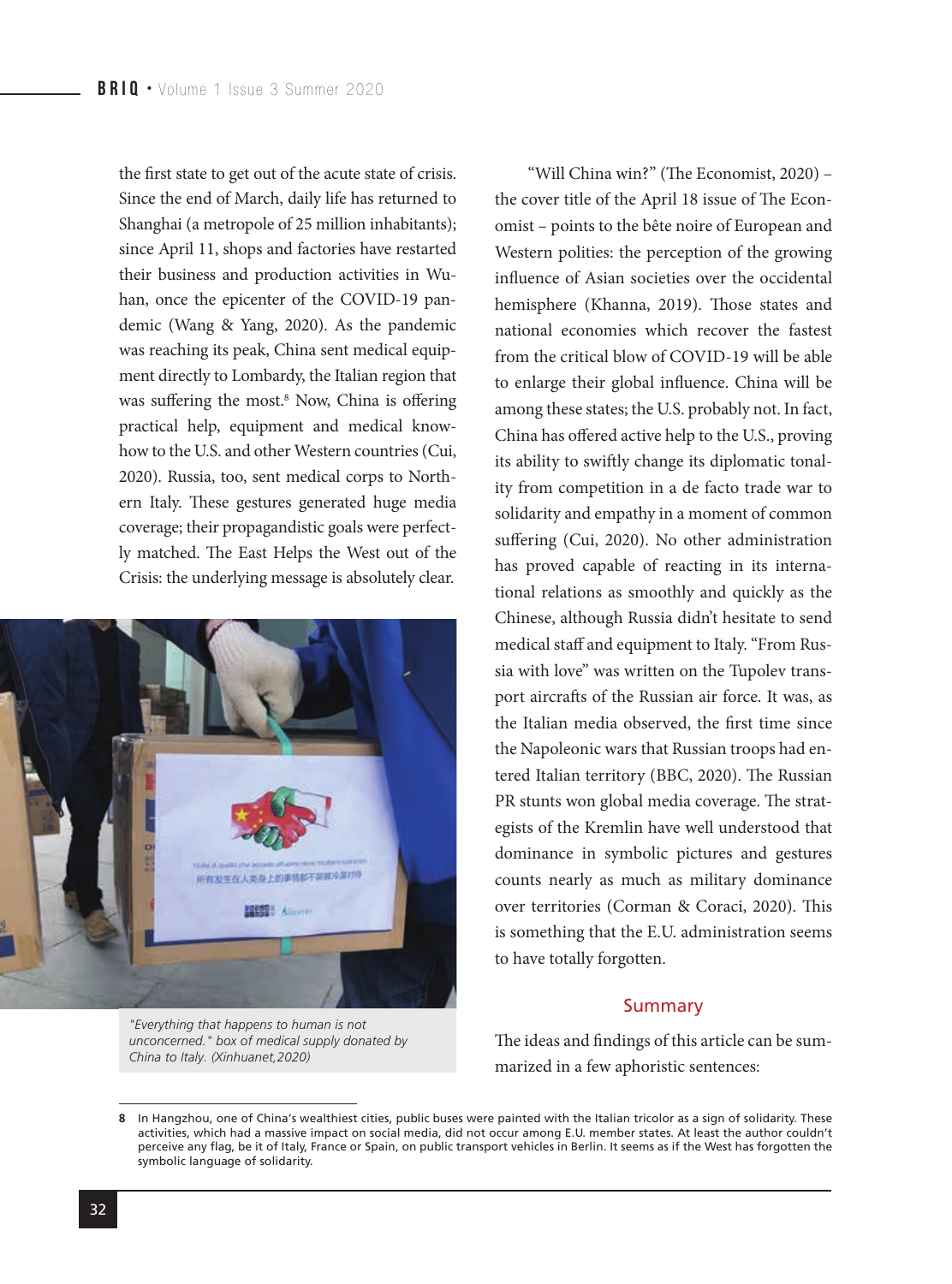the first state to get out of the acute state of crisis. Since the end of March, daily life has returned to Shanghai (a metropole of 25 million inhabitants); since April 11, shops and factories have restarted their business and production activities in Wuhan, once the epicenter of the COVID-19 pandemic (Wang & Yang, 2020). As the pandemic was reaching its peak, China sent medical equipment directly to Lombardy, the Italian region that was suffering the most.<sup>8</sup> Now, China is offering practical help, equipment and medical knowhow to the U.S. and other Western countries (Cui, 2020). Russia, too, sent medical corps to Northern Italy. These gestures generated huge media coverage; their propagandistic goals were perfectly matched. The East Helps the West out of the Crisis: the underlying message is absolutely clear.



symbolic language of solidarity.

omist – points to the bête noire of European and Western polities: the perception of the growing influence of Asian societies over the occidental hemisphere (Khanna, 2019). Those states and national economies which recover the fastest from the critical blow of COVID-19 will be able to enlarge their global influence. China will be among these states; the U.S. probably not. In fact, China has offered active help to the U.S., proving its ability to swiftly change its diplomatic tonality from competition in a de facto trade war to solidarity and empathy in a moment of common suffering (Cui, 2020). No other administration has proved capable of reacting in its international relations as smoothly and quickly as the Chinese, although Russia didn't hesitate to send medical staff and equipment to Italy. "From Russia with love" was written on the Tupolev transport aircrafts of the Russian air force. It was, as the Italian media observed, the first time since the Napoleonic wars that Russian troops had entered Italian territory (BBC, 2020). The Russian PR stunts won global media coverage. The strategists of the Kremlin have well understood that dominance in symbolic pictures and gestures counts nearly as much as military dominance over territories (Corman & Coraci, 2020). This is something that the E.U. administration seems to have totally forgotten.

"Will China win?" (The Economist, 2020) – the cover title of the April 18 issue of The Econ-

#### Summary

The ideas and findings of this article can be summarized in a few aphoristic sentences:

perceive any flag, be it of Italy, France or Spain, on public transport vehicles in Berlin. It seems as if the West has forgotten the

32

*unconcerned." box of medical supply donated by China to Italy. (Xinhuanet,2020)*

In Hangzhou, one of China's wealthiest cities, public buses were painted with the Italian tricolor as a sign of solidarity. These **8** activities, which had a massive impact on social media, did not occur among E.U. member states. At least the author couldn't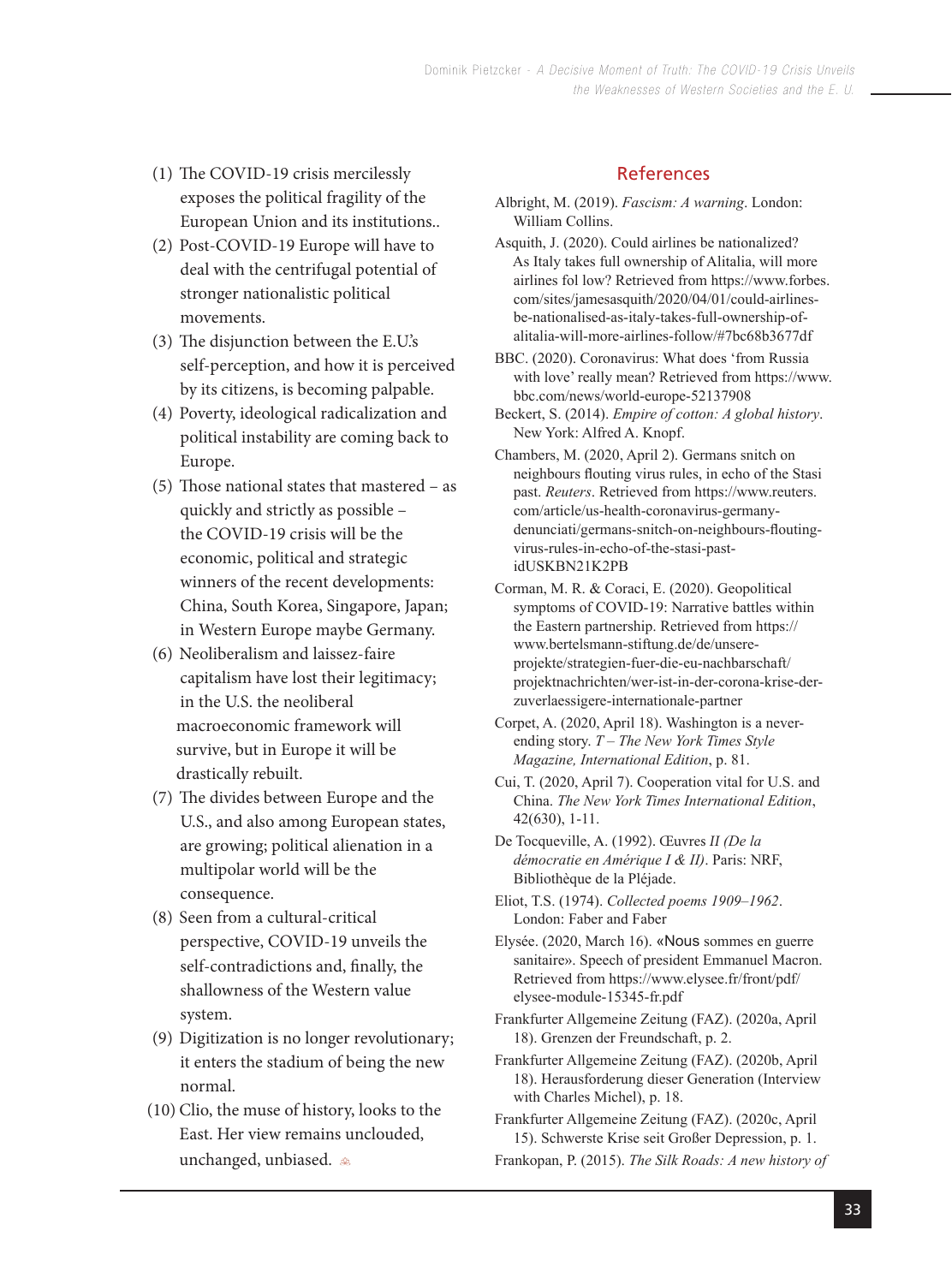- (1) The COVID-19 crisis mercilessly exposes the political fragility of the European Union and its institutions..
- (2) Post-COVID-19 Europe will have to deal with the centrifugal potential of stronger nationalistic political movements.
- $(3)$  The disjunction between the E.U.'s self-perception, and how it is perceived by its citizens, is becoming palpable.
- (4) Poverty, ideological radicalization and political instability are coming back to Europe.
- (5) Those national states that mastered  $-$  as quickly and strictly as possible – the COVID-19 crisis will be the economic, political and strategic winners of the recent developments: China, South Korea, Singapore, Japan; in Western Europe maybe Germany.
- (6) Neoliberalism and laissez-faire capitalism have lost their legitimacy; in the U.S. the neoliberal macroeconomic framework will survive, but in Europe it will be drastically rebuilt.
- (7) The divides between Europe and the U.S., and also among European states, are growing; political alienation in a multipolar world will be the consequence.
- (8) Seen from a cultural-critical perspective, COVID-19 unveils the self-contradictions and, finally, the shallowness of the Western value system.
- (9) Digitization is no longer revolutionary; it enters the stadium of being the new normal.
- (10) Clio, the muse of history, looks to the East. Her view remains unclouded, unchanged, unbiased.

# References

- Albright, M. (2019). *Fascism: A warning*. London: William Collins.
- Asquith, J. (2020). Could airlines be nationalized? As Italy takes full ownership of Alitalia, will more airlines fol low? Retrieved from https://www.forbes. com/sites/jamesasquith/2020/04/01/could-airlines be-nationalised-as-italy-takes-full-ownership-of alitalia-will-more-airlines-follow/#7bc68b3677df
- BBC. (2020). Coronavirus: What does 'from Russia with love' really mean? Retrieved from https://www. bbc.com/news/world-europe-52137908
- Beckert, S. (2014). *Empire of cotton: A global history*. New York: Alfred A. Knopf.
- Chambers, M. (2020, April 2). Germans snitch on neighbours flouting virus rules, in echo of the Stasi past. *Reuters*. Retrieved from https://www.reuters. com/article/us-health-coronavirus-germany denunciati/germans-snitch-on-neighbours-flouting virus-rules-in-echo-of-the-stasi-past idUSKBN21K2PB
- Corman, M. R. & Coraci, E. (2020). Geopolitical symptoms of COVID-19: Narrative battles within the Eastern partnership. Retrieved from https:// www.bertelsmann-stiftung.de/de/unsere projekte/strategien-fuer-die-eu-nachbarschaft/ projektnachrichten/wer-ist-in-der-corona-krise-der zuverlaessigere-internationale-partner
- Corpet, A. (2020, April 18). Washington is a never ending story. *T – The New York Times Style Magazine, International Edition*, p. 81.
- Cui, T. (2020, April 7). Cooperation vital for U.S. and China. *The New York Times International Edition*, 42(630), 1-11.
- De Tocqueville, A. (1992). Œuvres *II (De la démocratie en Amérique I & II)*. Paris: NRF, Bibliothèque de la Pléjade.
- Eliot, T.S. (1974). *Collected poems 1909–1962*. London: Faber and Faber
- Elysée. (2020, March 16). «Nous sommes en guerre sanitaire». Speech of president Emmanuel Macron. Retrieved from https://www.elysee.fr/front/pdf/ elysee-module-15345-fr.pdf
- Frankfurter Allgemeine Zeitung (FAZ). (2020a, April 18). Grenzen der Freundschaft, p. 2.
- Frankfurter Allgemeine Zeitung (FAZ). (2020b, April 18). Herausforderung dieser Generation (Interview with Charles Michel), p. 18.
- Frankfurter Allgemeine Zeitung (FAZ). (2020c, April 15). Schwerste Krise seit Großer Depression, p. 1.
- Frankopan, P. (2015). *The Silk Roads: A new history of*